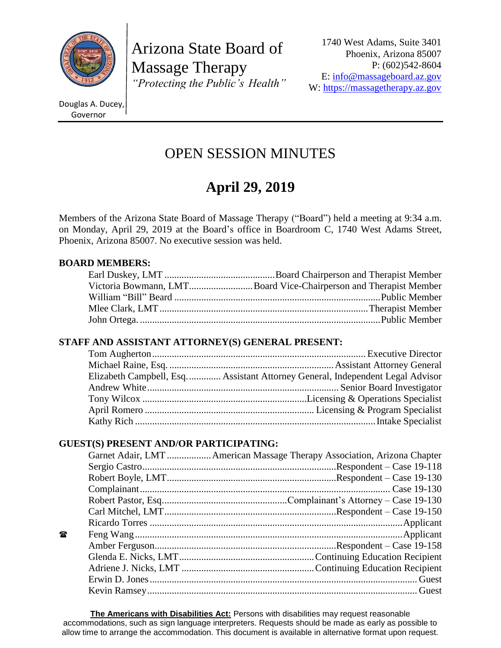

Arizona State Board of Massage Therapy *"Protecting the Public's Health"*

1740 West Adams, Suite 3401 Phoenix, Arizona 85007 P: (602)542-8604 E: [info@massageboard.az.gov](mailto:info@massageboard.az.gov) W: [https://massagetherapy.az.gov](https://massagetherapy.az.gov/)

Douglas A. Ducey, Governor

# OPEN SESSION MINUTES

# **April 29, 2019**

Members of the Arizona State Board of Massage Therapy ("Board") held a meeting at 9:34 a.m. on Monday, April 29, 2019 at the Board's office in Boardroom C, 1740 West Adams Street, Phoenix, Arizona 85007. No executive session was held.

## **BOARD MEMBERS:**

| Victoria Bowmann, LMTBoard Vice-Chairperson and Therapist Member |
|------------------------------------------------------------------|
|                                                                  |
|                                                                  |
|                                                                  |

## **STAFF AND ASSISTANT ATTORNEY(S) GENERAL PRESENT:**

| Elizabeth Campbell, Esq Assistant Attorney General, Independent Legal Advisor |
|-------------------------------------------------------------------------------|
|                                                                               |
|                                                                               |
|                                                                               |
|                                                                               |

## **GUEST(S) PRESENT AND/OR PARTICIPATING:**

|   | Garnet Adair, LMT  American Massage Therapy Association, Arizona Chapter |
|---|--------------------------------------------------------------------------|
|   |                                                                          |
|   |                                                                          |
|   |                                                                          |
|   |                                                                          |
|   |                                                                          |
|   |                                                                          |
| 曾 |                                                                          |
|   |                                                                          |
|   |                                                                          |
|   |                                                                          |
|   |                                                                          |
|   |                                                                          |

**The Americans with Disabilities Act:** Persons with disabilities may request reasonable accommodations, such as sign language interpreters. Requests should be made as early as possible to allow time to arrange the accommodation. This document is available in alternative format upon request.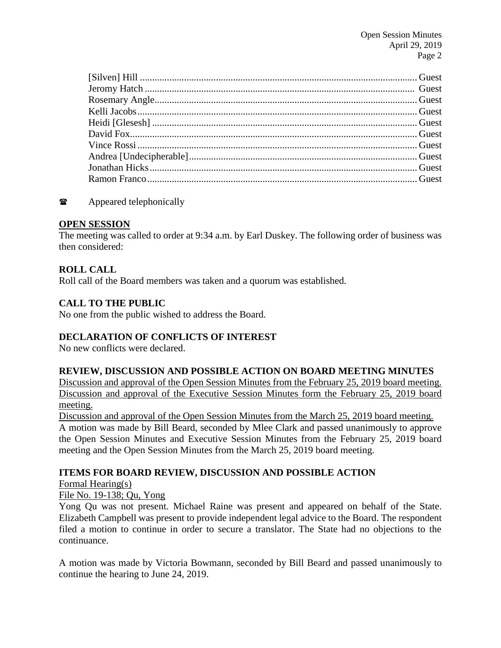## **The Appeared telephonically**

#### **OPEN SESSION**

The meeting was called to order at 9:34 a.m. by Earl Duskey. The following order of business was then considered:

## **ROLL CALL**

Roll call of the Board members was taken and a quorum was established.

## **CALL TO THE PUBLIC**

No one from the public wished to address the Board.

## **DECLARATION OF CONFLICTS OF INTEREST**

No new conflicts were declared.

#### **REVIEW, DISCUSSION AND POSSIBLE ACTION ON BOARD MEETING MINUTES**

Discussion and approval of the Open Session Minutes from the February 25, 2019 board meeting. Discussion and approval of the Executive Session Minutes form the February 25, 2019 board meeting.

Discussion and approval of the Open Session Minutes from the March 25, 2019 board meeting.

A motion was made by Bill Beard, seconded by Mlee Clark and passed unanimously to approve the Open Session Minutes and Executive Session Minutes from the February 25, 2019 board meeting and the Open Session Minutes from the March 25, 2019 board meeting.

#### **ITEMS FOR BOARD REVIEW, DISCUSSION AND POSSIBLE ACTION**

Formal Hearing(s)

File No. 19-138; Qu, Yong

Yong Qu was not present. Michael Raine was present and appeared on behalf of the State. Elizabeth Campbell was present to provide independent legal advice to the Board. The respondent filed a motion to continue in order to secure a translator. The State had no objections to the continuance.

A motion was made by Victoria Bowmann, seconded by Bill Beard and passed unanimously to continue the hearing to June 24, 2019.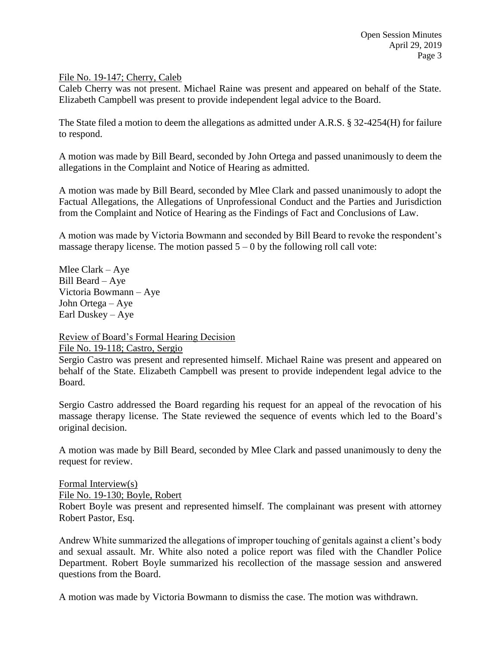File No. 19-147; Cherry, Caleb

Caleb Cherry was not present. Michael Raine was present and appeared on behalf of the State. Elizabeth Campbell was present to provide independent legal advice to the Board.

The State filed a motion to deem the allegations as admitted under A.R.S. § 32-4254(H) for failure to respond.

A motion was made by Bill Beard, seconded by John Ortega and passed unanimously to deem the allegations in the Complaint and Notice of Hearing as admitted.

A motion was made by Bill Beard, seconded by Mlee Clark and passed unanimously to adopt the Factual Allegations, the Allegations of Unprofessional Conduct and the Parties and Jurisdiction from the Complaint and Notice of Hearing as the Findings of Fact and Conclusions of Law.

A motion was made by Victoria Bowmann and seconded by Bill Beard to revoke the respondent's massage therapy license. The motion passed  $5 - 0$  by the following roll call vote:

Mlee Clark – Aye Bill Beard – Aye Victoria Bowmann – Aye John Ortega – Aye Earl Duskey – Aye

Review of Board's Formal Hearing Decision

File No. 19-118; Castro, Sergio

Sergio Castro was present and represented himself. Michael Raine was present and appeared on behalf of the State. Elizabeth Campbell was present to provide independent legal advice to the Board.

Sergio Castro addressed the Board regarding his request for an appeal of the revocation of his massage therapy license. The State reviewed the sequence of events which led to the Board's original decision.

A motion was made by Bill Beard, seconded by Mlee Clark and passed unanimously to deny the request for review.

Formal Interview(s) File No. 19-130; Boyle, Robert Robert Boyle was present and represented himself. The complainant was present with attorney Robert Pastor, Esq.

Andrew White summarized the allegations of improper touching of genitals against a client's body and sexual assault. Mr. White also noted a police report was filed with the Chandler Police Department. Robert Boyle summarized his recollection of the massage session and answered questions from the Board.

A motion was made by Victoria Bowmann to dismiss the case. The motion was withdrawn.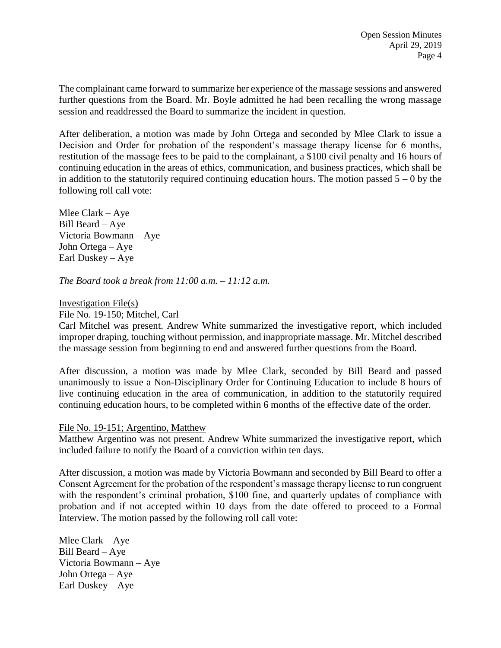The complainant came forward to summarize her experience of the massage sessions and answered further questions from the Board. Mr. Boyle admitted he had been recalling the wrong massage session and readdressed the Board to summarize the incident in question.

After deliberation, a motion was made by John Ortega and seconded by Mlee Clark to issue a Decision and Order for probation of the respondent's massage therapy license for 6 months, restitution of the massage fees to be paid to the complainant, a \$100 civil penalty and 16 hours of continuing education in the areas of ethics, communication, and business practices, which shall be in addition to the statutorily required continuing education hours. The motion passed  $5 - 0$  by the following roll call vote:

Mlee Clark – Aye Bill Beard – Aye Victoria Bowmann – Aye John Ortega – Aye Earl Duskey – Aye

*The Board took a break from 11:00 a.m. – 11:12 a.m.*

Investigation File(s)

File No. 19-150; Mitchel, Carl

Carl Mitchel was present. Andrew White summarized the investigative report, which included improper draping, touching without permission, and inappropriate massage. Mr. Mitchel described the massage session from beginning to end and answered further questions from the Board.

After discussion, a motion was made by Mlee Clark, seconded by Bill Beard and passed unanimously to issue a Non-Disciplinary Order for Continuing Education to include 8 hours of live continuing education in the area of communication, in addition to the statutorily required continuing education hours, to be completed within 6 months of the effective date of the order.

File No. 19-151; Argentino, Matthew

Matthew Argentino was not present. Andrew White summarized the investigative report, which included failure to notify the Board of a conviction within ten days.

After discussion, a motion was made by Victoria Bowmann and seconded by Bill Beard to offer a Consent Agreement for the probation of the respondent's massage therapy license to run congruent with the respondent's criminal probation, \$100 fine, and quarterly updates of compliance with probation and if not accepted within 10 days from the date offered to proceed to a Formal Interview. The motion passed by the following roll call vote:

Mlee Clark – Aye Bill Beard – Aye Victoria Bowmann – Aye John Ortega – Aye Earl Duskey – Aye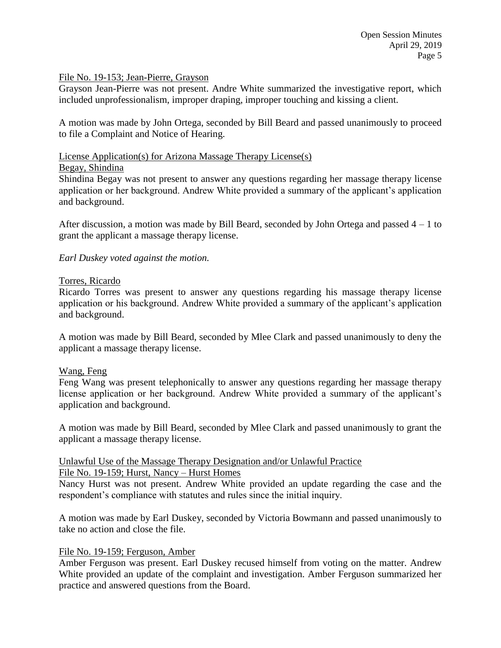#### File No. 19-153; Jean-Pierre, Grayson

Grayson Jean-Pierre was not present. Andre White summarized the investigative report, which included unprofessionalism, improper draping, improper touching and kissing a client.

A motion was made by John Ortega, seconded by Bill Beard and passed unanimously to proceed to file a Complaint and Notice of Hearing.

#### License Application(s) for Arizona Massage Therapy License(s)

#### Begay, Shindina

Shindina Begay was not present to answer any questions regarding her massage therapy license application or her background. Andrew White provided a summary of the applicant's application and background.

After discussion, a motion was made by Bill Beard, seconded by John Ortega and passed 4 – 1 to grant the applicant a massage therapy license.

#### *Earl Duskey voted against the motion.*

#### Torres, Ricardo

Ricardo Torres was present to answer any questions regarding his massage therapy license application or his background. Andrew White provided a summary of the applicant's application and background.

A motion was made by Bill Beard, seconded by Mlee Clark and passed unanimously to deny the applicant a massage therapy license.

#### Wang, Feng

Feng Wang was present telephonically to answer any questions regarding her massage therapy license application or her background. Andrew White provided a summary of the applicant's application and background.

A motion was made by Bill Beard, seconded by Mlee Clark and passed unanimously to grant the applicant a massage therapy license.

## Unlawful Use of the Massage Therapy Designation and/or Unlawful Practice

#### File No. 19-159; Hurst, Nancy – Hurst Homes

Nancy Hurst was not present. Andrew White provided an update regarding the case and the respondent's compliance with statutes and rules since the initial inquiry.

A motion was made by Earl Duskey, seconded by Victoria Bowmann and passed unanimously to take no action and close the file.

#### File No. 19-159; Ferguson, Amber

Amber Ferguson was present. Earl Duskey recused himself from voting on the matter. Andrew White provided an update of the complaint and investigation. Amber Ferguson summarized her practice and answered questions from the Board.